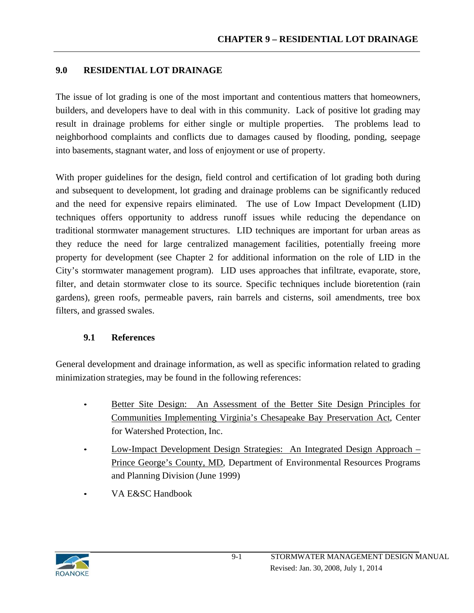#### **9.0 RESIDENTIAL LOT DRAINAGE**

The issue of lot grading is one of the most important and contentious matters that homeowners, builders, and developers have to deal with in this community. Lack of positive lot grading may result in drainage problems for either single or multiple properties. The problems lead to neighborhood complaints and conflicts due to damages caused by flooding, ponding, seepage into basements, stagnant water, and loss of enjoyment or use of property.

With proper guidelines for the design, field control and certification of lot grading both during and subsequent to development, lot grading and drainage problems can be significantly reduced and the need for expensive repairs eliminated. The use of Low Impact Development (LID) techniques offers opportunity to address runoff issues while reducing the dependance on traditional stormwater management structures. LID techniques are important for urban areas as they reduce the need for large centralized management facilities, potentially freeing more property for development (see Chapter 2 for additional information on the role of LID in the City's stormwater management program). LID uses approaches that infiltrate, evaporate, store, filter, and detain stormwater close to its source. Specific techniques include bioretention (rain gardens), green roofs, permeable pavers, rain barrels and cisterns, soil amendments, tree box filters, and grassed swales.

#### **9.1 References**

General development and drainage information, as well as specific information related to grading minimization strategies, may be found in the following references:

- Better Site Design: An Assessment of the Better Site Design Principles for Communities Implementing Virginia's Chesapeake Bay Preservation Act, Center for Watershed Protection, Inc.
- Low-Impact Development Design Strategies: An Integrated Design Approach Prince George's County, MD, Department of Environmental Resources Programs and Planning Division (June 1999)
- VA E&SC Handbook

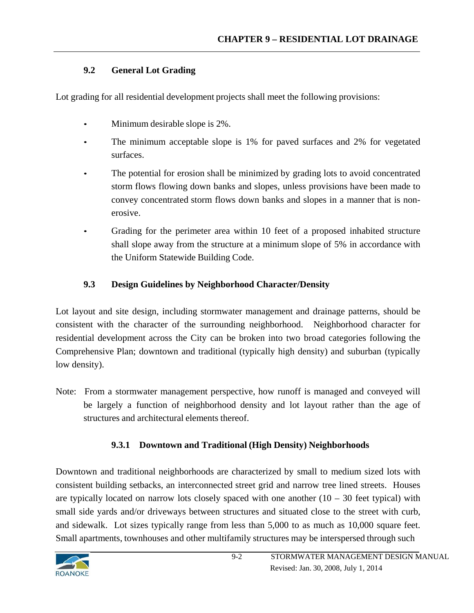## **9.2 General Lot Grading**

Lot grading for all residential development projects shall meet the following provisions:

- Minimum desirable slope is 2%.
- The minimum acceptable slope is 1% for paved surfaces and 2% for vegetated surfaces.
- The potential for erosion shall be minimized by grading lots to avoid concentrated storm flows flowing down banks and slopes, unless provisions have been made to convey concentrated storm flows down banks and slopes in a manner that is nonerosive.
- Grading for the perimeter area within 10 feet of a proposed inhabited structure shall slope away from the structure at a minimum slope of 5% in accordance with the Uniform Statewide Building Code.

# **9.3 Design Guidelines by Neighborhood Character/Density**

Lot layout and site design, including stormwater management and drainage patterns, should be consistent with the character of the surrounding neighborhood. Neighborhood character for residential development across the City can be broken into two broad categories following the Comprehensive Plan; downtown and traditional (typically high density) and suburban (typically low density).

Note: From a stormwater management perspective, how runoff is managed and conveyed will be largely a function of neighborhood density and lot layout rather than the age of structures and architectural elements thereof.

# **9.3.1 Downtown and Traditional (High Density) Neighborhoods**

Downtown and traditional neighborhoods are characterized by small to medium sized lots with consistent building setbacks, an interconnected street grid and narrow tree lined streets. Houses are typically located on narrow lots closely spaced with one another  $(10 - 30$  feet typical) with small side yards and/or driveways between structures and situated close to the street with curb, and sidewalk. Lot sizes typically range from less than 5,000 to as much as 10,000 square feet. Small apartments, townhouses and other multifamily structures may be interspersed through such

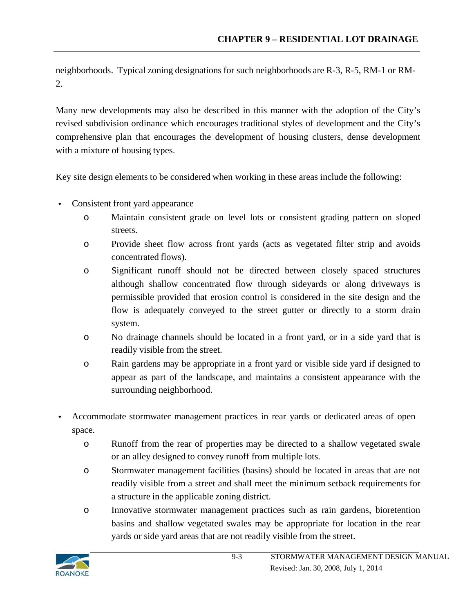neighborhoods. Typical zoning designations for such neighborhoods are R-3, R-5, RM-1 or RM-2.

Many new developments may also be described in this manner with the adoption of the City's revised subdivision ordinance which encourages traditional styles of development and the City's comprehensive plan that encourages the development of housing clusters, dense development with a mixture of housing types.

Key site design elements to be considered when working in these areas include the following:

- Consistent front yard appearance
	- o Maintain consistent grade on level lots or consistent grading pattern on sloped streets.
	- o Provide sheet flow across front yards (acts as vegetated filter strip and avoids concentrated flows).
	- o Significant runoff should not be directed between closely spaced structures although shallow concentrated flow through sideyards or along driveways is permissible provided that erosion control is considered in the site design and the flow is adequately conveyed to the street gutter or directly to a storm drain system.
	- o No drainage channels should be located in a front yard, or in a side yard that is readily visible from the street.
	- o Rain gardens may be appropriate in a front yard or visible side yard if designed to appear as part of the landscape, and maintains a consistent appearance with the surrounding neighborhood.
- Accommodate stormwater management practices in rear yards or dedicated areas of open space.
	- o Runoff from the rear of properties may be directed to a shallow vegetated swale or an alley designed to convey runoff from multiple lots.
	- o Stormwater management facilities (basins) should be located in areas that are not readily visible from a street and shall meet the minimum setback requirements for a structure in the applicable zoning district.
	- o Innovative stormwater management practices such as rain gardens, bioretention basins and shallow vegetated swales may be appropriate for location in the rear yards or side yard areas that are not readily visible from the street.

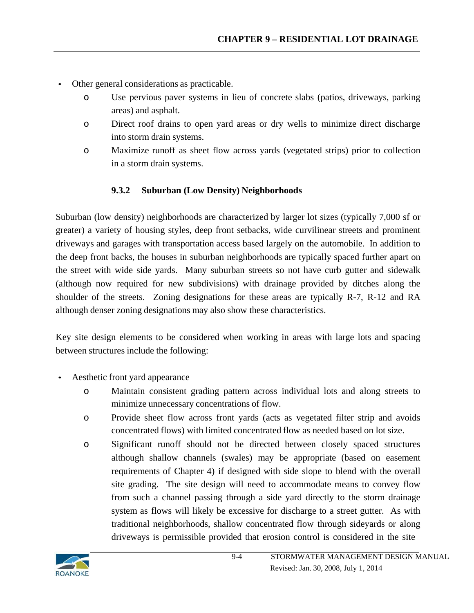- Other general considerations as practicable.
	- o Use pervious paver systems in lieu of concrete slabs (patios, driveways, parking areas) and asphalt.
	- o Direct roof drains to open yard areas or dry wells to minimize direct discharge into storm drain systems.
	- o Maximize runoff as sheet flow across yards (vegetated strips) prior to collection in a storm drain systems.

### **9.3.2 Suburban (Low Density) Neighborhoods**

Suburban (low density) neighborhoods are characterized by larger lot sizes (typically 7,000 sf or greater) a variety of housing styles, deep front setbacks, wide curvilinear streets and prominent driveways and garages with transportation access based largely on the automobile. In addition to the deep front backs, the houses in suburban neighborhoods are typically spaced further apart on the street with wide side yards. Many suburban streets so not have curb gutter and sidewalk (although now required for new subdivisions) with drainage provided by ditches along the shoulder of the streets. Zoning designations for these areas are typically R-7, R-12 and RA although denser zoning designations may also show these characteristics.

Key site design elements to be considered when working in areas with large lots and spacing between structures include the following:

- Aesthetic front yard appearance
	- o Maintain consistent grading pattern across individual lots and along streets to minimize unnecessary concentrations of flow.
	- o Provide sheet flow across front yards (acts as vegetated filter strip and avoids concentrated flows) with limited concentrated flow as needed based on lot size.
	- o Significant runoff should not be directed between closely spaced structures although shallow channels (swales) may be appropriate (based on easement requirements of Chapter 4) if designed with side slope to blend with the overall site grading. The site design will need to accommodate means to convey flow from such a channel passing through a side yard directly to the storm drainage system as flows will likely be excessive for discharge to a street gutter. As with traditional neighborhoods, shallow concentrated flow through sideyards or along driveways is permissible provided that erosion control is considered in the site

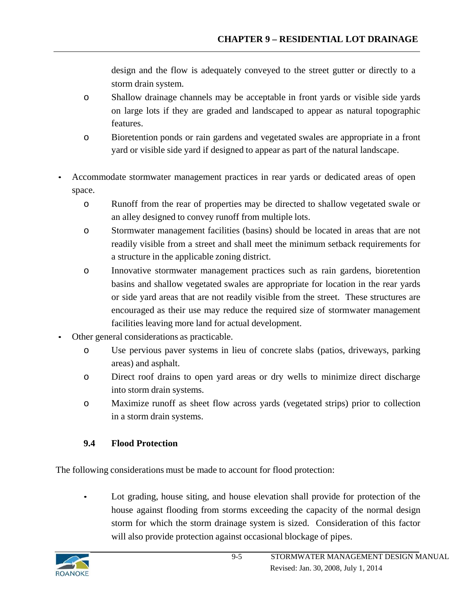design and the flow is adequately conveyed to the street gutter or directly to a storm drain system.

- o Shallow drainage channels may be acceptable in front yards or visible side yards on large lots if they are graded and landscaped to appear as natural topographic features.
- o Bioretention ponds or rain gardens and vegetated swales are appropriate in a front yard or visible side yard if designed to appear as part of the natural landscape.
- Accommodate stormwater management practices in rear yards or dedicated areas of open space.
	- o Runoff from the rear of properties may be directed to shallow vegetated swale or an alley designed to convey runoff from multiple lots.
	- o Stormwater management facilities (basins) should be located in areas that are not readily visible from a street and shall meet the minimum setback requirements for a structure in the applicable zoning district.
	- o Innovative stormwater management practices such as rain gardens, bioretention basins and shallow vegetated swales are appropriate for location in the rear yards or side yard areas that are not readily visible from the street. These structures are encouraged as their use may reduce the required size of stormwater management facilities leaving more land for actual development.
- Other general considerations as practicable.
	- o Use pervious paver systems in lieu of concrete slabs (patios, driveways, parking areas) and asphalt.
	- o Direct roof drains to open yard areas or dry wells to minimize direct discharge into storm drain systems.
	- o Maximize runoff as sheet flow across yards (vegetated strips) prior to collection in a storm drain systems.

### **9.4 Flood Protection**

The following considerations must be made to account for flood protection:

Lot grading, house siting, and house elevation shall provide for protection of the house against flooding from storms exceeding the capacity of the normal design storm for which the storm drainage system is sized. Consideration of this factor will also provide protection against occasional blockage of pipes.

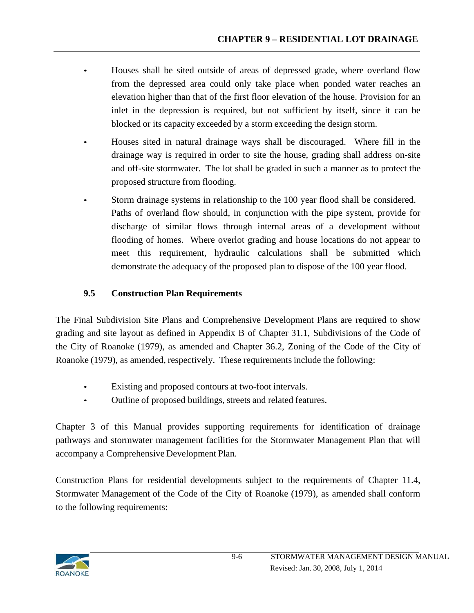- Houses shall be sited outside of areas of depressed grade, where overland flow from the depressed area could only take place when ponded water reaches an elevation higher than that of the first floor elevation of the house. Provision for an inlet in the depression is required, but not sufficient by itself, since it can be blocked or its capacity exceeded by a storm exceeding the design storm.
- Houses sited in natural drainage ways shall be discouraged. Where fill in the drainage way is required in order to site the house, grading shall address on-site and off-site stormwater. The lot shall be graded in such a manner as to protect the proposed structure from flooding.
- Storm drainage systems in relationship to the 100 year flood shall be considered. Paths of overland flow should, in conjunction with the pipe system, provide for discharge of similar flows through internal areas of a development without flooding of homes. Where overlot grading and house locations do not appear to meet this requirement, hydraulic calculations shall be submitted which demonstrate the adequacy of the proposed plan to dispose of the 100 year flood.

### **9.5 Construction Plan Requirements**

The Final Subdivision Site Plans and Comprehensive Development Plans are required to show grading and site layout as defined in Appendix B of Chapter 31.1, Subdivisions of the Code of the City of Roanoke (1979), as amended and Chapter 36.2, Zoning of the Code of the City of Roanoke (1979), as amended, respectively. These requirements include the following:

- Existing and proposed contours at two-foot intervals.
- Outline of proposed buildings, streets and related features.

Chapter 3 of this Manual provides supporting requirements for identification of drainage pathways and stormwater management facilities for the Stormwater Management Plan that will accompany a Comprehensive Development Plan.

Construction Plans for residential developments subject to the requirements of Chapter 11.4, Stormwater Management of the Code of the City of Roanoke (1979), as amended shall conform to the following requirements: